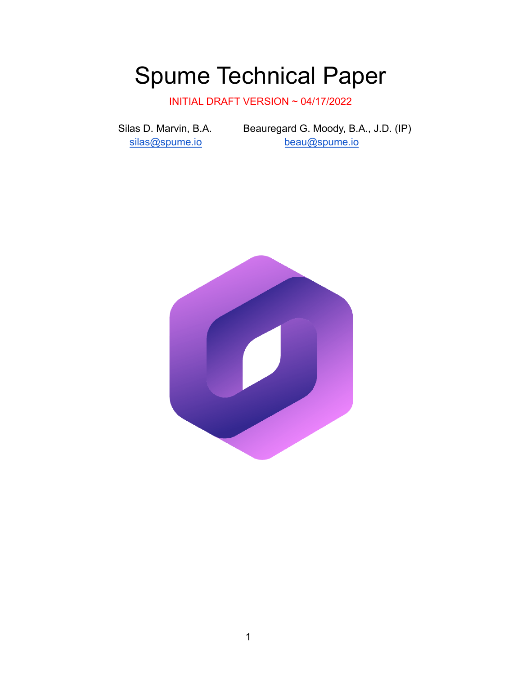# Spume Technical Paper

INITIAL DRAFT VERSION ~ 04/17/2022

Silas D. Marvin, B.A. Beauregard G. Moody, B.A., J.D. (IP) [silas@spume.io](mailto:silas@spume.io) [beau@spume.io](mailto:beau@spume.io)

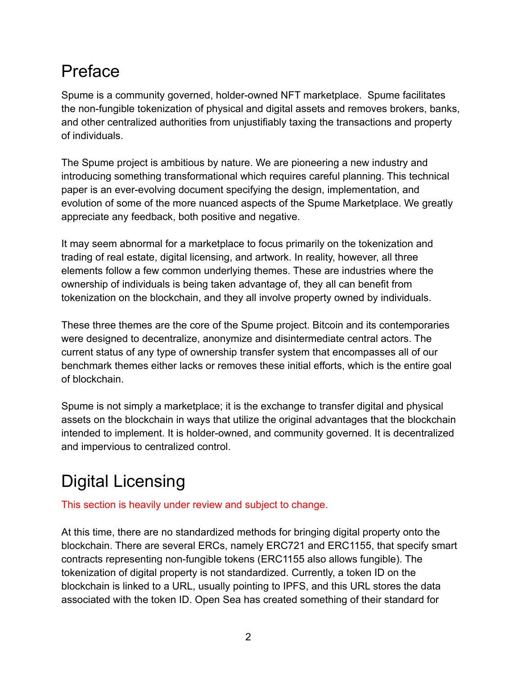# Preface

Spume is a community governed, holder-owned NFT marketplace. Spume facilitates the non-fungible tokenization of physical and digital assets and removes brokers, banks, and other centralized authorities from unjustifiably taxing the transactions and property of individuals.

The Spume project is ambitious by nature. We are pioneering a new industry and introducing something transformational which requires careful planning. This technical paper is an ever-evolving document specifying the design, implementation, and evolution of some of the more nuanced aspects of the Spume Marketplace. We greatly appreciate any feedback, both positive and negative.

It may seem abnormal for a marketplace to focus primarily on the tokenization and trading of real estate, digital licensing, and artwork. In reality, however, all three elements follow a few common underlying themes. These are industries where the ownership of individuals is being taken advantage of, they all can benefit from tokenization on the blockchain, and they all involve property owned by individuals.

These three themes are the core of the Spume project. Bitcoin and its contemporaries were designed to decentralize, anonymize and disintermediate central actors. The current status of any type of ownership transfer system that encompasses all of our benchmark themes either lacks or removes these initial efforts, which is the entire goal of blockchain.

Spume is not simply a marketplace; it is the exchange to transfer digital and physical assets on the blockchain in ways that utilize the original advantages that the blockchain intended to implement. It is holder-owned, and community governed. It is decentralized and impervious to centralized control.

# Digital Licensing

This section is heavily under review and subject to change.

At this time, there are no standardized methods for bringing digital property onto the blockchain. There are several ERCs, namely ERC721 and ERC1155, that specify smart contracts representing non-fungible tokens (ERC1155 also allows fungible). The tokenization of digital property is not standardized. Currently, a token ID on the blockchain is linked to a URL, usually pointing to IPFS, and this URL stores the data associated with the token ID. Open Sea has created something of their standard for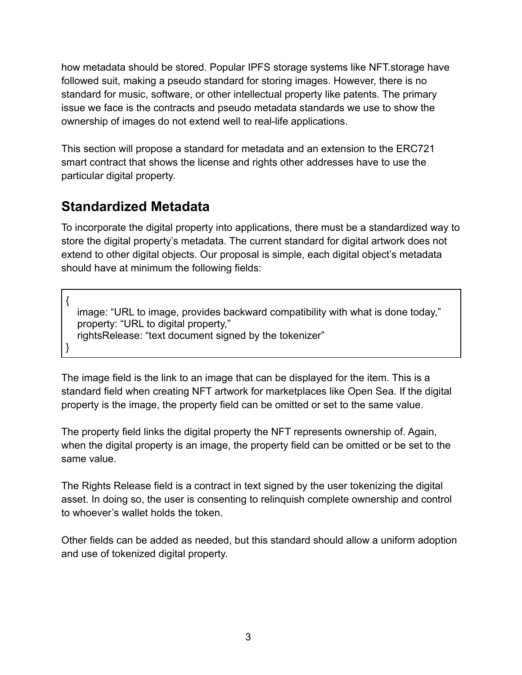how metadata should be stored. Popular IPFS storage systems like NFT.storage have followed suit, making a pseudo standard for storing images. However, there is no standard for music, software, or other intellectual property like patents. The primary issue we face is the contracts and pseudo metadata standards we use to show the ownership of images do not extend well to real-life applications.

This section will propose a standard for metadata and an extension to the ERC721 smart contract that shows the license and rights other addresses have to use the particular digital property.

## **Standardized Metadata**

To incorporate the digital property into applications, there must be a standardized way to store the digital property's metadata. The current standard for digital artwork does not extend to other digital objects. Our proposal is simple, each digital object's metadata should have at minimum the following fields:

{ image: "URL to image, provides backward compatibility with what is done today," property: "URL to digital property," rightsRelease: "text document signed by the tokenizer" }

The image field is the link to an image that can be displayed for the item. This is a standard field when creating NFT artwork for marketplaces like Open Sea. If the digital property is the image, the property field can be omitted or set to the same value.

The property field links the digital property the NFT represents ownership of. Again, when the digital property is an image, the property field can be omitted or be set to the same value.

The Rights Release field is a contract in text signed by the user tokenizing the digital asset. In doing so, the user is consenting to relinquish complete ownership and control to whoever's wallet holds the token.

Other fields can be added as needed, but this standard should allow a uniform adoption and use of tokenized digital property.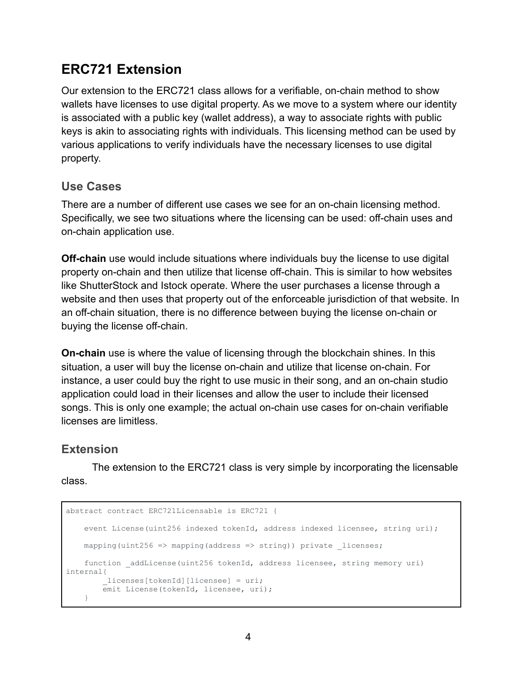## **ERC721 Extension**

Our extension to the ERC721 class allows for a verifiable, on-chain method to show wallets have licenses to use digital property. As we move to a system where our identity is associated with a public key (wallet address), a way to associate rights with public keys is akin to associating rights with individuals. This licensing method can be used by various applications to verify individuals have the necessary licenses to use digital property.

### **Use Cases**

There are a number of different use cases we see for an on-chain licensing method. Specifically, we see two situations where the licensing can be used: off-chain uses and on-chain application use.

**Off-chain** use would include situations where individuals buy the license to use digital property on-chain and then utilize that license off-chain. This is similar to how websites like ShutterStock and Istock operate. Where the user purchases a license through a website and then uses that property out of the enforceable jurisdiction of that website. In an off-chain situation, there is no difference between buying the license on-chain or buying the license off-chain.

**On-chain** use is where the value of licensing through the blockchain shines. In this situation, a user will buy the license on-chain and utilize that license on-chain. For instance, a user could buy the right to use music in their song, and an on-chain studio application could load in their licenses and allow the user to include their licensed songs. This is only one example; the actual on-chain use cases for on-chain verifiable licenses are limitless.

### **Extension**

The extension to the ERC721 class is very simple by incorporating the licensable class.

```
abstract contract ERC721Licensable is ERC721 {
   event License(uint256 indexed tokenId, address indexed licensee, string uri);
   mapping(uint256 => mapping(address => string)) private licenses;
   function _addLicense(uint256 tokenId, address licensee, string memory uri)
internal{
        _licenses[tokenId][licensee] = uri;
        -<br>emit License(tokenId, licensee, uri);
   }
```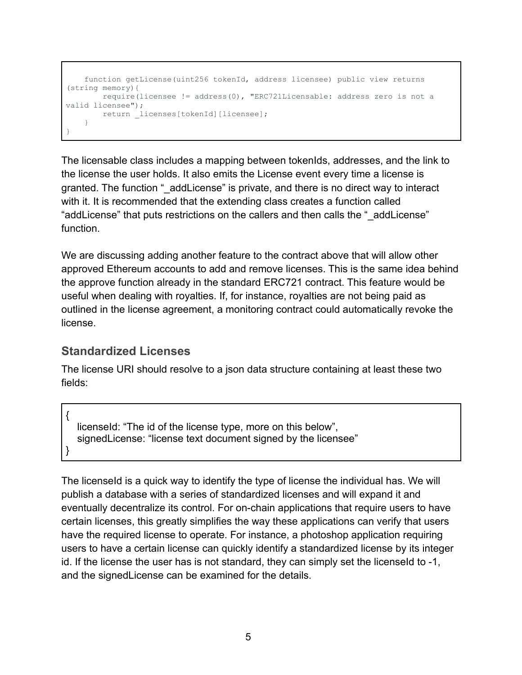```
function getLicense(uint256 tokenId, address licensee) public view returns
(string memory){
      require(licensee != address(0), "ERC721Licensable: address zero is not a
valid licensee");
      return licenses[tokenId][licensee];
   }
}
```
The licensable class includes a mapping between tokenIds, addresses, and the link to the license the user holds. It also emits the License event every time a license is granted. The function " addLicense" is private, and there is no direct way to interact with it. It is recommended that the extending class creates a function called "addLicense" that puts restrictions on the callers and then calls the "\_addLicense" function.

We are discussing adding another feature to the contract above that will allow other approved Ethereum accounts to add and remove licenses. This is the same idea behind the approve function already in the standard ERC721 contract. This feature would be useful when dealing with royalties. If, for instance, royalties are not being paid as outlined in the license agreement, a monitoring contract could automatically revoke the license.

## **Standardized Licenses**

The license URI should resolve to a json data structure containing at least these two fields:

| licenseld: "The id of the license type, more on this below",   |
|----------------------------------------------------------------|
| signed License: "license text document signed by the licensee" |
|                                                                |

The licenseld is a quick way to identify the type of license the individual has. We will publish a database with a series of standardized licenses and will expand it and eventually decentralize its control. For on-chain applications that require users to have certain licenses, this greatly simplifies the way these applications can verify that users have the required license to operate. For instance, a photoshop application requiring users to have a certain license can quickly identify a standardized license by its integer id. If the license the user has is not standard, they can simply set the licenseld to -1, and the signedLicense can be examined for the details.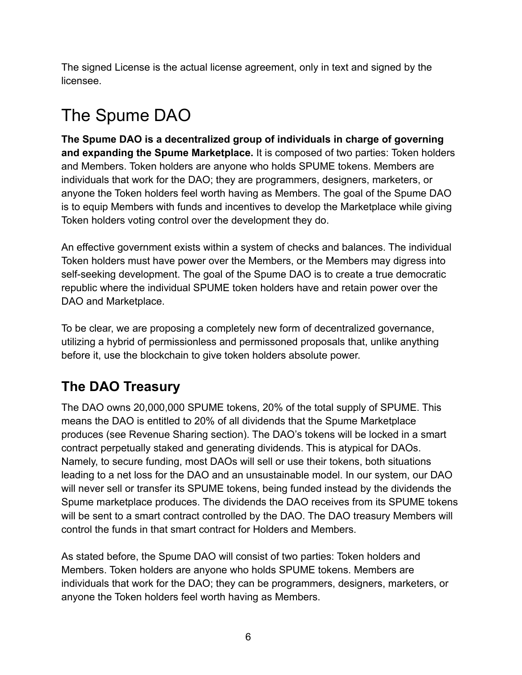The signed License is the actual license agreement, only in text and signed by the licensee.

# The Spume DAO

**The Spume DAO is a decentralized group of individuals in charge of governing and expanding the Spume Marketplace.** It is composed of two parties: Token holders and Members. Token holders are anyone who holds SPUME tokens. Members are individuals that work for the DAO; they are programmers, designers, marketers, or anyone the Token holders feel worth having as Members. The goal of the Spume DAO is to equip Members with funds and incentives to develop the Marketplace while giving Token holders voting control over the development they do.

An effective government exists within a system of checks and balances. The individual Token holders must have power over the Members, or the Members may digress into self-seeking development. The goal of the Spume DAO is to create a true democratic republic where the individual SPUME token holders have and retain power over the DAO and Marketplace.

To be clear, we are proposing a completely new form of decentralized governance, utilizing a hybrid of permissionless and permissoned proposals that, unlike anything before it, use the blockchain to give token holders absolute power.

## **The DAO Treasury**

The DAO owns 20,000,000 SPUME tokens, 20% of the total supply of SPUME. This means the DAO is entitled to 20% of all dividends that the Spume Marketplace produces (see Revenue Sharing section). The DAO's tokens will be locked in a smart contract perpetually staked and generating dividends. This is atypical for DAOs. Namely, to secure funding, most DAOs will sell or use their tokens, both situations leading to a net loss for the DAO and an unsustainable model. In our system, our DAO will never sell or transfer its SPUME tokens, being funded instead by the dividends the Spume marketplace produces. The dividends the DAO receives from its SPUME tokens will be sent to a smart contract controlled by the DAO. The DAO treasury Members will control the funds in that smart contract for Holders and Members.

As stated before, the Spume DAO will consist of two parties: Token holders and Members. Token holders are anyone who holds SPUME tokens. Members are individuals that work for the DAO; they can be programmers, designers, marketers, or anyone the Token holders feel worth having as Members.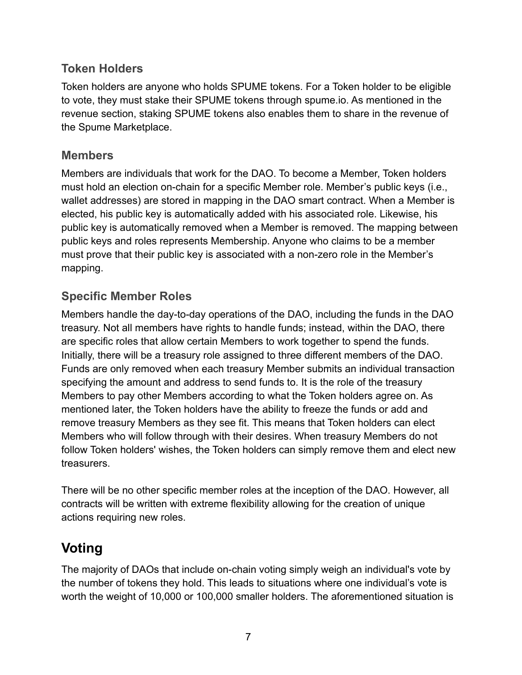## **Token Holders**

Token holders are anyone who holds SPUME tokens. For a Token holder to be eligible to vote, they must stake their SPUME tokens through spume.io. As mentioned in the revenue section, staking SPUME tokens also enables them to share in the revenue of the Spume Marketplace.

### **Members**

Members are individuals that work for the DAO. To become a Member, Token holders must hold an election on-chain for a specific Member role. Member's public keys (i.e., wallet addresses) are stored in mapping in the DAO smart contract. When a Member is elected, his public key is automatically added with his associated role. Likewise, his public key is automatically removed when a Member is removed. The mapping between public keys and roles represents Membership. Anyone who claims to be a member must prove that their public key is associated with a non-zero role in the Member's mapping.

## **Specific Member Roles**

Members handle the day-to-day operations of the DAO, including the funds in the DAO treasury. Not all members have rights to handle funds; instead, within the DAO, there are specific roles that allow certain Members to work together to spend the funds. Initially, there will be a treasury role assigned to three different members of the DAO. Funds are only removed when each treasury Member submits an individual transaction specifying the amount and address to send funds to. It is the role of the treasury Members to pay other Members according to what the Token holders agree on. As mentioned later, the Token holders have the ability to freeze the funds or add and remove treasury Members as they see fit. This means that Token holders can elect Members who will follow through with their desires. When treasury Members do not follow Token holders' wishes, the Token holders can simply remove them and elect new **treasurers** 

There will be no other specific member roles at the inception of the DAO. However, all contracts will be written with extreme flexibility allowing for the creation of unique actions requiring new roles.

## **Voting**

The majority of DAOs that include on-chain voting simply weigh an individual's vote by the number of tokens they hold. This leads to situations where one individual's vote is worth the weight of 10,000 or 100,000 smaller holders. The aforementioned situation is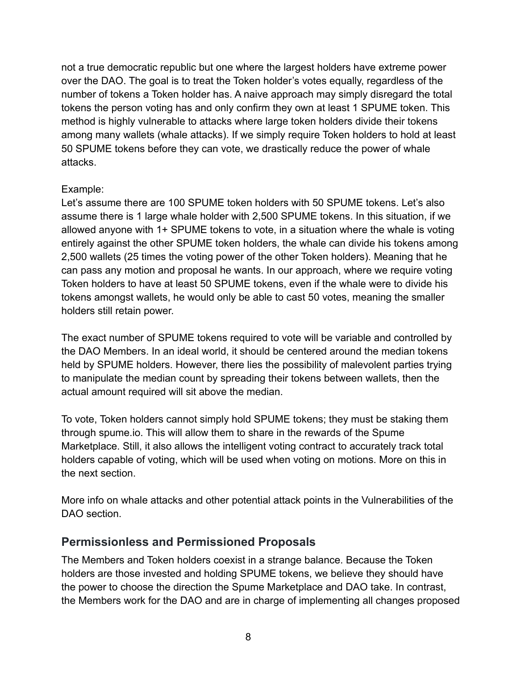not a true democratic republic but one where the largest holders have extreme power over the DAO. The goal is to treat the Token holder's votes equally, regardless of the number of tokens a Token holder has. A naive approach may simply disregard the total tokens the person voting has and only confirm they own at least 1 SPUME token. This method is highly vulnerable to attacks where large token holders divide their tokens among many wallets (whale attacks). If we simply require Token holders to hold at least 50 SPUME tokens before they can vote, we drastically reduce the power of whale attacks.

#### Example:

Let's assume there are 100 SPUME token holders with 50 SPUME tokens. Let's also assume there is 1 large whale holder with 2,500 SPUME tokens. In this situation, if we allowed anyone with 1+ SPUME tokens to vote, in a situation where the whale is voting entirely against the other SPUME token holders, the whale can divide his tokens among 2,500 wallets (25 times the voting power of the other Token holders). Meaning that he can pass any motion and proposal he wants. In our approach, where we require voting Token holders to have at least 50 SPUME tokens, even if the whale were to divide his tokens amongst wallets, he would only be able to cast 50 votes, meaning the smaller holders still retain power.

The exact number of SPUME tokens required to vote will be variable and controlled by the DAO Members. In an ideal world, it should be centered around the median tokens held by SPUME holders. However, there lies the possibility of malevolent parties trying to manipulate the median count by spreading their tokens between wallets, then the actual amount required will sit above the median.

To vote, Token holders cannot simply hold SPUME tokens; they must be staking them through spume.io. This will allow them to share in the rewards of the Spume Marketplace. Still, it also allows the intelligent voting contract to accurately track total holders capable of voting, which will be used when voting on motions. More on this in the next section.

More info on whale attacks and other potential attack points in the Vulnerabilities of the DAO section.

## **Permissionless and Permissioned Proposals**

The Members and Token holders coexist in a strange balance. Because the Token holders are those invested and holding SPUME tokens, we believe they should have the power to choose the direction the Spume Marketplace and DAO take. In contrast, the Members work for the DAO and are in charge of implementing all changes proposed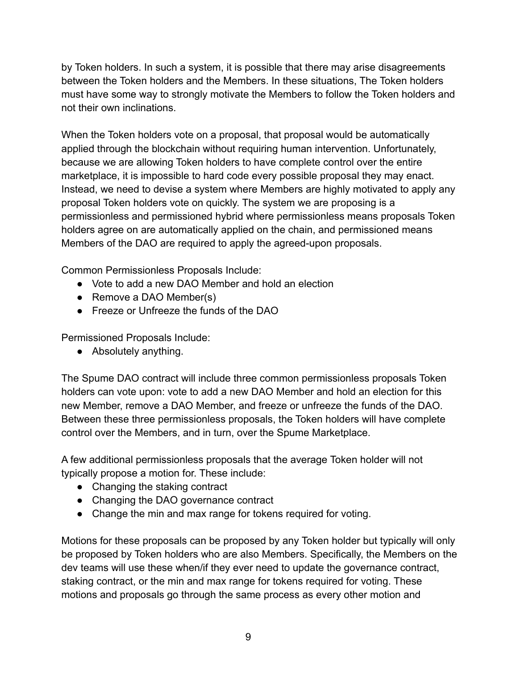by Token holders. In such a system, it is possible that there may arise disagreements between the Token holders and the Members. In these situations, The Token holders must have some way to strongly motivate the Members to follow the Token holders and not their own inclinations.

When the Token holders vote on a proposal, that proposal would be automatically applied through the blockchain without requiring human intervention. Unfortunately, because we are allowing Token holders to have complete control over the entire marketplace, it is impossible to hard code every possible proposal they may enact. Instead, we need to devise a system where Members are highly motivated to apply any proposal Token holders vote on quickly. The system we are proposing is a permissionless and permissioned hybrid where permissionless means proposals Token holders agree on are automatically applied on the chain, and permissioned means Members of the DAO are required to apply the agreed-upon proposals.

Common Permissionless Proposals Include:

- Vote to add a new DAO Member and hold an election
- Remove a DAO Member(s)
- Freeze or Unfreeze the funds of the DAO

Permissioned Proposals Include:

● Absolutely anything.

The Spume DAO contract will include three common permissionless proposals Token holders can vote upon: vote to add a new DAO Member and hold an election for this new Member, remove a DAO Member, and freeze or unfreeze the funds of the DAO. Between these three permissionless proposals, the Token holders will have complete control over the Members, and in turn, over the Spume Marketplace.

A few additional permissionless proposals that the average Token holder will not typically propose a motion for. These include:

- Changing the staking contract
- Changing the DAO governance contract
- Change the min and max range for tokens required for voting.

Motions for these proposals can be proposed by any Token holder but typically will only be proposed by Token holders who are also Members. Specifically, the Members on the dev teams will use these when/if they ever need to update the governance contract, staking contract, or the min and max range for tokens required for voting. These motions and proposals go through the same process as every other motion and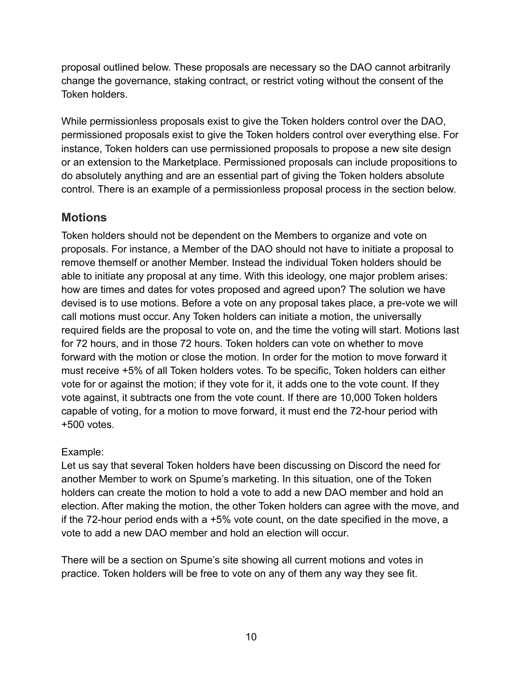proposal outlined below. These proposals are necessary so the DAO cannot arbitrarily change the governance, staking contract, or restrict voting without the consent of the Token holders.

While permissionless proposals exist to give the Token holders control over the DAO, permissioned proposals exist to give the Token holders control over everything else. For instance, Token holders can use permissioned proposals to propose a new site design or an extension to the Marketplace. Permissioned proposals can include propositions to do absolutely anything and are an essential part of giving the Token holders absolute control. There is an example of a permissionless proposal process in the section below.

### **Motions**

Token holders should not be dependent on the Members to organize and vote on proposals. For instance, a Member of the DAO should not have to initiate a proposal to remove themself or another Member. Instead the individual Token holders should be able to initiate any proposal at any time. With this ideology, one major problem arises: how are times and dates for votes proposed and agreed upon? The solution we have devised is to use motions. Before a vote on any proposal takes place, a pre-vote we will call motions must occur. Any Token holders can initiate a motion, the universally required fields are the proposal to vote on, and the time the voting will start. Motions last for 72 hours, and in those 72 hours. Token holders can vote on whether to move forward with the motion or close the motion. In order for the motion to move forward it must receive +5% of all Token holders votes. To be specific, Token holders can either vote for or against the motion; if they vote for it, it adds one to the vote count. If they vote against, it subtracts one from the vote count. If there are 10,000 Token holders capable of voting, for a motion to move forward, it must end the 72-hour period with +500 votes.

#### Example:

Let us say that several Token holders have been discussing on Discord the need for another Member to work on Spume's marketing. In this situation, one of the Token holders can create the motion to hold a vote to add a new DAO member and hold an election. After making the motion, the other Token holders can agree with the move, and if the 72-hour period ends with a +5% vote count, on the date specified in the move, a vote to add a new DAO member and hold an election will occur.

There will be a section on Spume's site showing all current motions and votes in practice. Token holders will be free to vote on any of them any way they see fit.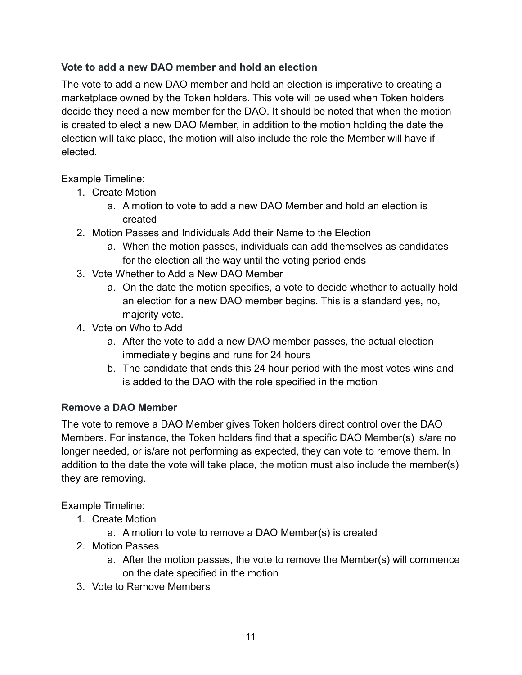#### **Vote to add a new DAO member and hold an election**

The vote to add a new DAO member and hold an election is imperative to creating a marketplace owned by the Token holders. This vote will be used when Token holders decide they need a new member for the DAO. It should be noted that when the motion is created to elect a new DAO Member, in addition to the motion holding the date the election will take place, the motion will also include the role the Member will have if elected.

#### Example Timeline:

- 1. Create Motion
	- a. A motion to vote to add a new DAO Member and hold an election is created
- 2. Motion Passes and Individuals Add their Name to the Election
	- a. When the motion passes, individuals can add themselves as candidates for the election all the way until the voting period ends
- 3. Vote Whether to Add a New DAO Member
	- a. On the date the motion specifies, a vote to decide whether to actually hold an election for a new DAO member begins. This is a standard yes, no, majority vote.
- 4. Vote on Who to Add
	- a. After the vote to add a new DAO member passes, the actual election immediately begins and runs for 24 hours
	- b. The candidate that ends this 24 hour period with the most votes wins and is added to the DAO with the role specified in the motion

#### **Remove a DAO Member**

The vote to remove a DAO Member gives Token holders direct control over the DAO Members. For instance, the Token holders find that a specific DAO Member(s) is/are no longer needed, or is/are not performing as expected, they can vote to remove them. In addition to the date the vote will take place, the motion must also include the member(s) they are removing.

Example Timeline:

- 1. Create Motion
	- a. A motion to vote to remove a DAO Member(s) is created
- 2. Motion Passes
	- a. After the motion passes, the vote to remove the Member(s) will commence on the date specified in the motion
- 3. Vote to Remove Members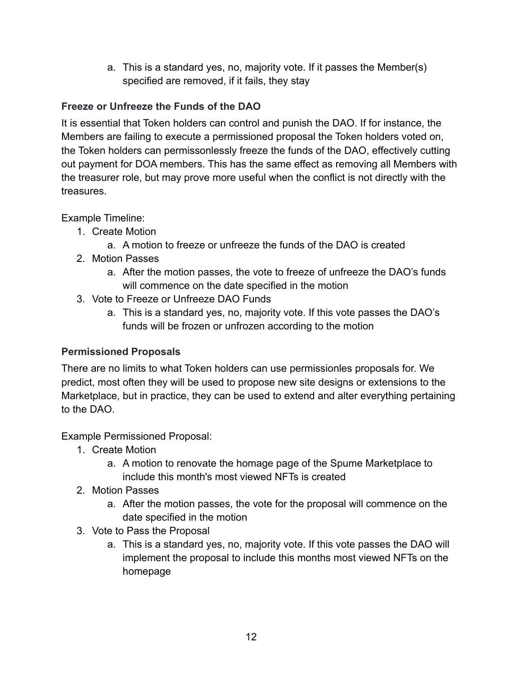a. This is a standard yes, no, majority vote. If it passes the Member(s) specified are removed, if it fails, they stay

### **Freeze or Unfreeze the Funds of the DAO**

It is essential that Token holders can control and punish the DAO. If for instance, the Members are failing to execute a permissioned proposal the Token holders voted on, the Token holders can permissonlessly freeze the funds of the DAO, effectively cutting out payment for DOA members. This has the same effect as removing all Members with the treasurer role, but may prove more useful when the conflict is not directly with the treasures.

Example Timeline:

- 1. Create Motion
	- a. A motion to freeze or unfreeze the funds of the DAO is created
- 2. Motion Passes
	- a. After the motion passes, the vote to freeze of unfreeze the DAO's funds will commence on the date specified in the motion
- 3. Vote to Freeze or Unfreeze DAO Funds
	- a. This is a standard yes, no, majority vote. If this vote passes the DAO's funds will be frozen or unfrozen according to the motion

#### **Permissioned Proposals**

There are no limits to what Token holders can use permissionles proposals for. We predict, most often they will be used to propose new site designs or extensions to the Marketplace, but in practice, they can be used to extend and alter everything pertaining to the DAO.

Example Permissioned Proposal:

- 1. Create Motion
	- a. A motion to renovate the homage page of the Spume Marketplace to include this month's most viewed NFTs is created
- 2. Motion Passes
	- a. After the motion passes, the vote for the proposal will commence on the date specified in the motion
- 3. Vote to Pass the Proposal
	- a. This is a standard yes, no, majority vote. If this vote passes the DAO will implement the proposal to include this months most viewed NFTs on the homepage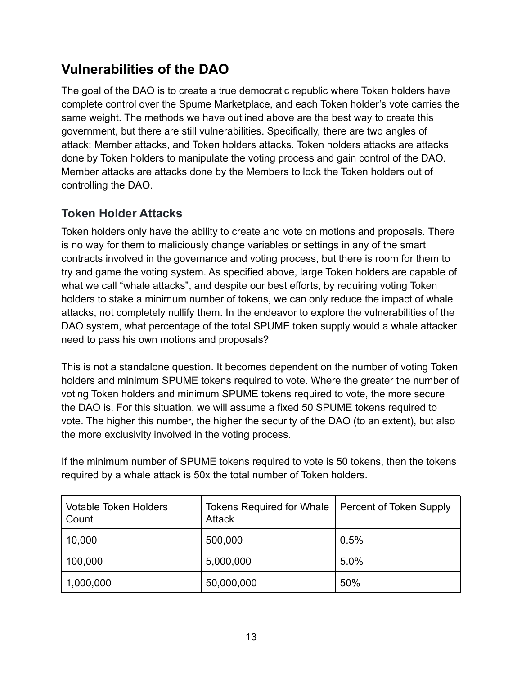# **Vulnerabilities of the DAO**

The goal of the DAO is to create a true democratic republic where Token holders have complete control over the Spume Marketplace, and each Token holder's vote carries the same weight. The methods we have outlined above are the best way to create this government, but there are still vulnerabilities. Specifically, there are two angles of attack: Member attacks, and Token holders attacks. Token holders attacks are attacks done by Token holders to manipulate the voting process and gain control of the DAO. Member attacks are attacks done by the Members to lock the Token holders out of controlling the DAO.

## **Token Holder Attacks**

Token holders only have the ability to create and vote on motions and proposals. There is no way for them to maliciously change variables or settings in any of the smart contracts involved in the governance and voting process, but there is room for them to try and game the voting system. As specified above, large Token holders are capable of what we call "whale attacks", and despite our best efforts, by requiring voting Token holders to stake a minimum number of tokens, we can only reduce the impact of whale attacks, not completely nullify them. In the endeavor to explore the vulnerabilities of the DAO system, what percentage of the total SPUME token supply would a whale attacker need to pass his own motions and proposals?

This is not a standalone question. It becomes dependent on the number of voting Token holders and minimum SPUME tokens required to vote. Where the greater the number of voting Token holders and minimum SPUME tokens required to vote, the more secure the DAO is. For this situation, we will assume a fixed 50 SPUME tokens required to vote. The higher this number, the higher the security of the DAO (to an extent), but also the more exclusivity involved in the voting process.

If the minimum number of SPUME tokens required to vote is 50 tokens, then the tokens required by a whale attack is 50x the total number of Token holders.

| <b>Votable Token Holders</b><br>Count | <b>Tokens Required for Whale</b><br><b>Attack</b> | Percent of Token Supply |
|---------------------------------------|---------------------------------------------------|-------------------------|
| 10,000                                | 500,000                                           | 0.5%                    |
| 100,000                               | 5,000,000                                         | 5.0%                    |
| 1,000,000                             | 50,000,000                                        | 50%                     |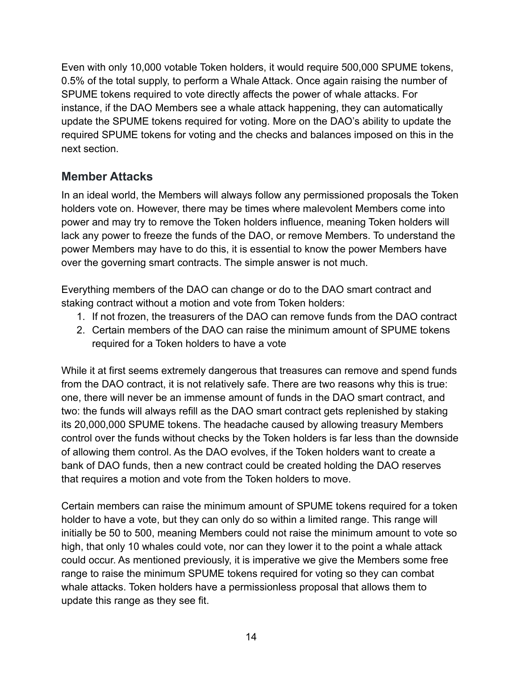Even with only 10,000 votable Token holders, it would require 500,000 SPUME tokens, 0.5% of the total supply, to perform a Whale Attack. Once again raising the number of SPUME tokens required to vote directly affects the power of whale attacks. For instance, if the DAO Members see a whale attack happening, they can automatically update the SPUME tokens required for voting. More on the DAO's ability to update the required SPUME tokens for voting and the checks and balances imposed on this in the next section.

## **Member Attacks**

In an ideal world, the Members will always follow any permissioned proposals the Token holders vote on. However, there may be times where malevolent Members come into power and may try to remove the Token holders influence, meaning Token holders will lack any power to freeze the funds of the DAO, or remove Members. To understand the power Members may have to do this, it is essential to know the power Members have over the governing smart contracts. The simple answer is not much.

Everything members of the DAO can change or do to the DAO smart contract and staking contract without a motion and vote from Token holders:

- 1. If not frozen, the treasurers of the DAO can remove funds from the DAO contract
- 2. Certain members of the DAO can raise the minimum amount of SPUME tokens required for a Token holders to have a vote

While it at first seems extremely dangerous that treasures can remove and spend funds from the DAO contract, it is not relatively safe. There are two reasons why this is true: one, there will never be an immense amount of funds in the DAO smart contract, and two: the funds will always refill as the DAO smart contract gets replenished by staking its 20,000,000 SPUME tokens. The headache caused by allowing treasury Members control over the funds without checks by the Token holders is far less than the downside of allowing them control. As the DAO evolves, if the Token holders want to create a bank of DAO funds, then a new contract could be created holding the DAO reserves that requires a motion and vote from the Token holders to move.

Certain members can raise the minimum amount of SPUME tokens required for a token holder to have a vote, but they can only do so within a limited range. This range will initially be 50 to 500, meaning Members could not raise the minimum amount to vote so high, that only 10 whales could vote, nor can they lower it to the point a whale attack could occur. As mentioned previously, it is imperative we give the Members some free range to raise the minimum SPUME tokens required for voting so they can combat whale attacks. Token holders have a permissionless proposal that allows them to update this range as they see fit.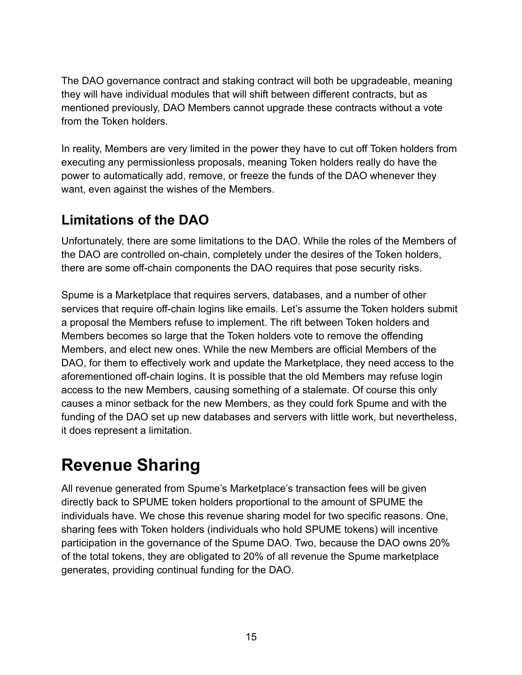The DAO governance contract and staking contract will both be upgradeable, meaning they will have individual modules that will shift between different contracts, but as mentioned previously, DAO Members cannot upgrade these contracts without a vote from the Token holders.

In reality, Members are very limited in the power they have to cut off Token holders from executing any permissionless proposals, meaning Token holders really do have the power to automatically add, remove, or freeze the funds of the DAO whenever they want, even against the wishes of the Members.

## **Limitations of the DAO**

Unfortunately, there are some limitations to the DAO. While the roles of the Members of the DAO are controlled on-chain, completely under the desires of the Token holders, there are some off-chain components the DAO requires that pose security risks.

Spume is a Marketplace that requires servers, databases, and a number of other services that require off-chain logins like emails. Let's assume the Token holders submit a proposal the Members refuse to implement. The rift between Token holders and Members becomes so large that the Token holders vote to remove the offending Members, and elect new ones. While the new Members are official Members of the DAO, for them to effectively work and update the Marketplace, they need access to the aforementioned off-chain logins. It is possible that the old Members may refuse login access to the new Members, causing something of a stalemate. Of course this only causes a minor setback for the new Members, as they could fork Spume and with the funding of the DAO set up new databases and servers with little work, but nevertheless, it does represent a limitation.

# **Revenue Sharing**

All revenue generated from Spume's Marketplace's transaction fees will be given directly back to SPUME token holders proportional to the amount of SPUME the individuals have. We chose this revenue sharing model for two specific reasons. One, sharing fees with Token holders (individuals who hold SPUME tokens) will incentive participation in the governance of the Spume DAO. Two, because the DAO owns 20% of the total tokens, they are obligated to 20% of all revenue the Spume marketplace generates, providing continual funding for the DAO.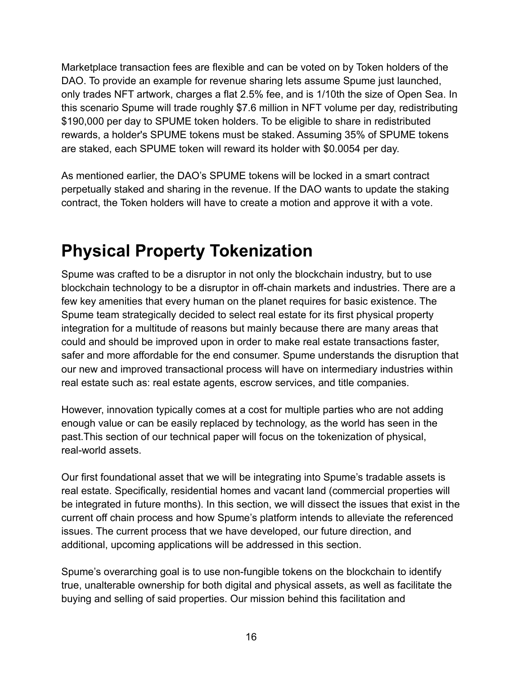Marketplace transaction fees are flexible and can be voted on by Token holders of the DAO. To provide an example for revenue sharing lets assume Spume just launched, only trades NFT artwork, charges a flat 2.5% fee, and is 1/10th the size of Open Sea. In this scenario Spume will trade roughly \$7.6 million in NFT volume per day, redistributing \$190,000 per day to SPUME token holders. To be eligible to share in redistributed rewards, a holder's SPUME tokens must be staked. Assuming 35% of SPUME tokens are staked, each SPUME token will reward its holder with \$0.0054 per day.

As mentioned earlier, the DAO's SPUME tokens will be locked in a smart contract perpetually staked and sharing in the revenue. If the DAO wants to update the staking contract, the Token holders will have to create a motion and approve it with a vote.

# **Physical Property Tokenization**

Spume was crafted to be a disruptor in not only the blockchain industry, but to use blockchain technology to be a disruptor in off-chain markets and industries. There are a few key amenities that every human on the planet requires for basic existence. The Spume team strategically decided to select real estate for its first physical property integration for a multitude of reasons but mainly because there are many areas that could and should be improved upon in order to make real estate transactions faster, safer and more affordable for the end consumer. Spume understands the disruption that our new and improved transactional process will have on intermediary industries within real estate such as: real estate agents, escrow services, and title companies.

However, innovation typically comes at a cost for multiple parties who are not adding enough value or can be easily replaced by technology, as the world has seen in the past.This section of our technical paper will focus on the tokenization of physical, real-world assets.

Our first foundational asset that we will be integrating into Spume's tradable assets is real estate. Specifically, residential homes and vacant land (commercial properties will be integrated in future months). In this section, we will dissect the issues that exist in the current off chain process and how Spume's platform intends to alleviate the referenced issues. The current process that we have developed, our future direction, and additional, upcoming applications will be addressed in this section.

Spume's overarching goal is to use non-fungible tokens on the blockchain to identify true, unalterable ownership for both digital and physical assets, as well as facilitate the buying and selling of said properties. Our mission behind this facilitation and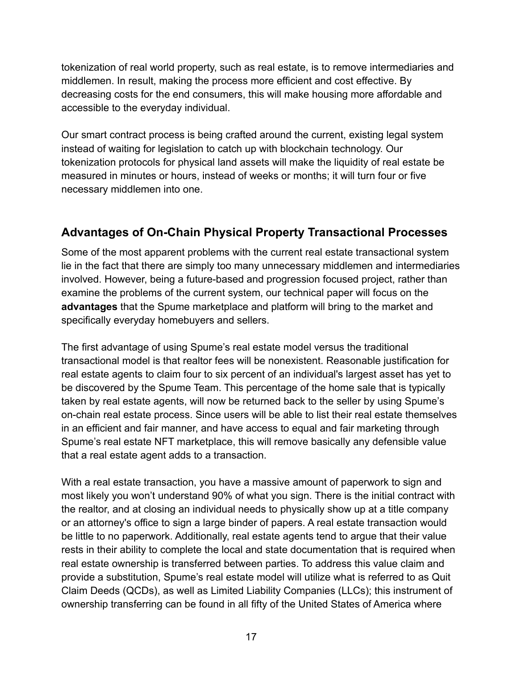tokenization of real world property, such as real estate, is to remove intermediaries and middlemen. In result, making the process more efficient and cost effective. By decreasing costs for the end consumers, this will make housing more affordable and accessible to the everyday individual.

Our smart contract process is being crafted around the current, existing legal system instead of waiting for legislation to catch up with blockchain technology. Our tokenization protocols for physical land assets will make the liquidity of real estate be measured in minutes or hours, instead of weeks or months; it will turn four or five necessary middlemen into one.

## **Advantages of On-Chain Physical Property Transactional Processes**

Some of the most apparent problems with the current real estate transactional system lie in the fact that there are simply too many unnecessary middlemen and intermediaries involved. However, being a future-based and progression focused project, rather than examine the problems of the current system, our technical paper will focus on the **advantages** that the Spume marketplace and platform will bring to the market and specifically everyday homebuyers and sellers.

The first advantage of using Spume's real estate model versus the traditional transactional model is that realtor fees will be nonexistent. Reasonable justification for real estate agents to claim four to six percent of an individual's largest asset has yet to be discovered by the Spume Team. This percentage of the home sale that is typically taken by real estate agents, will now be returned back to the seller by using Spume's on-chain real estate process. Since users will be able to list their real estate themselves in an efficient and fair manner, and have access to equal and fair marketing through Spume's real estate NFT marketplace, this will remove basically any defensible value that a real estate agent adds to a transaction.

With a real estate transaction, you have a massive amount of paperwork to sign and most likely you won't understand 90% of what you sign. There is the initial contract with the realtor, and at closing an individual needs to physically show up at a title company or an attorney's office to sign a large binder of papers. A real estate transaction would be little to no paperwork. Additionally, real estate agents tend to argue that their value rests in their ability to complete the local and state documentation that is required when real estate ownership is transferred between parties. To address this value claim and provide a substitution, Spume's real estate model will utilize what is referred to as Quit Claim Deeds (QCDs), as well as Limited Liability Companies (LLCs); this instrument of ownership transferring can be found in all fifty of the United States of America where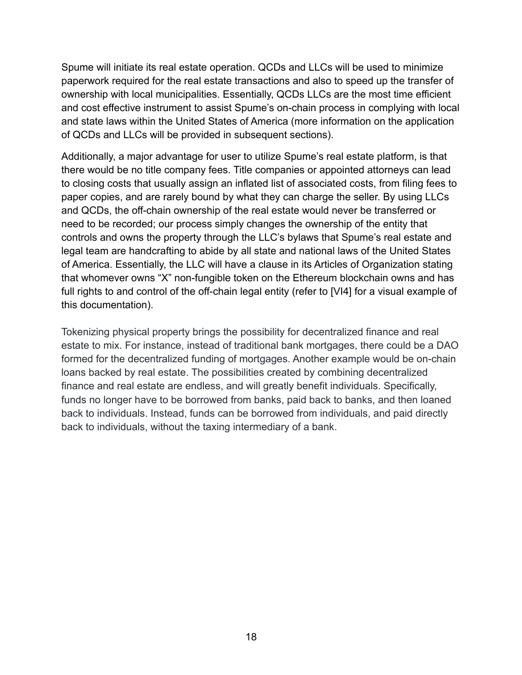Spume will initiate its real estate operation. QCDs and LLCs will be used to minimize paperwork required for the real estate transactions and also to speed up the transfer of ownership with local municipalities. Essentially, QCDs LLCs are the most time efficient and cost effective instrument to assist Spume's on-chain process in complying with local and state laws within the United States of America (more information on the application of QCDs and LLCs will be provided in subsequent sections).

Additionally, a major advantage for user to utilize Spume's real estate platform, is that there would be no title company fees. Title companies or appointed attorneys can lead to closing costs that usually assign an inflated list of associated costs, from filing fees to paper copies, and are rarely bound by what they can charge the seller. By using LLCs and QCDs, the off-chain ownership of the real estate would never be transferred or need to be recorded; our process simply changes the ownership of the entity that controls and owns the property through the LLC's bylaws that Spume's real estate and legal team are handcrafting to abide by all state and national laws of the United States of America. Essentially, the LLC will have a clause in its Articles of Organization stating that whomever owns "X" non-fungible token on the Ethereum blockchain owns and has full rights to and control of the off-chain legal entity (refer to [VI4] for a visual example of this documentation).

Tokenizing physical property brings the possibility for decentralized finance and real estate to mix. For instance, instead of traditional bank mortgages, there could be a DAO formed for the decentralized funding of mortgages. Another example would be on-chain loans backed by real estate. The possibilities created by combining decentralized finance and real estate are endless, and will greatly benefit individuals. Specifically, funds no longer have to be borrowed from banks, paid back to banks, and then loaned back to individuals. Instead, funds can be borrowed from individuals, and paid directly back to individuals, without the taxing intermediary of a bank.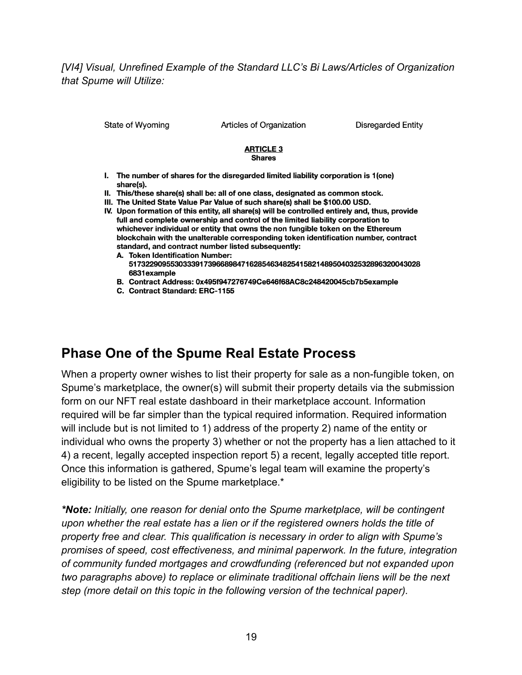*[VI4] Visual, Unrefined Example of the Standard LLC's Bi Laws/Articles of Organization that Spume will Utilize:*

State of Wyoming

Articles of Organization

**Disregarded Entity** 

#### **ARTICLE 3 Shares**

- I. The number of shares for the disregarded limited liability corporation is 1(one) share(s).
- II. This/these share(s) shall be: all of one class, designated as common stock.
- III. The United State Value Par Value of such share(s) shall be \$100.00 USD.
- IV. Upon formation of this entity, all share(s) will be controlled entirely and, thus, provide full and complete ownership and control of the limited liability corporation to whichever individual or entity that owns the non fungible token on the Ethereum blockchain with the unalterable corresponding token identification number, contract standard, and contract number listed subsequently:
	- A. Token Identification Number: 5173229095530333917396689847162854634825415821489504032532896320043028 6831example
	- B. Contract Address: 0x495f947276749Ce646f68AC8c248420045cb7b5example
	- C. Contract Standard: ERC-1155

## **Phase One of the Spume Real Estate Process**

When a property owner wishes to list their property for sale as a non-fungible token, on Spume's marketplace, the owner(s) will submit their property details via the submission form on our NFT real estate dashboard in their marketplace account. Information required will be far simpler than the typical required information. Required information will include but is not limited to 1) address of the property 2) name of the entity or individual who owns the property 3) whether or not the property has a lien attached to it 4) a recent, legally accepted inspection report 5) a recent, legally accepted title report. Once this information is gathered, Spume's legal team will examine the property's eligibility to be listed on the Spume marketplace.\*

*\*Note: Initially, one reason for denial onto the Spume marketplace, will be contingent upon whether the real estate has a lien or if the registered owners holds the title of property free and clear. This qualification is necessary in order to align with Spume's promises of speed, cost effectiveness, and minimal paperwork. In the future, integration of community funded mortgages and crowdfunding (referenced but not expanded upon two paragraphs above) to replace or eliminate traditional offchain liens will be the next step (more detail on this topic in the following version of the technical paper).*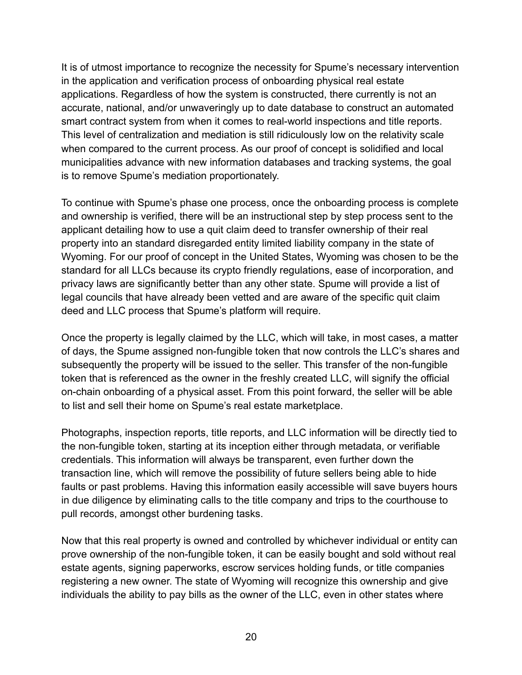It is of utmost importance to recognize the necessity for Spume's necessary intervention in the application and verification process of onboarding physical real estate applications. Regardless of how the system is constructed, there currently is not an accurate, national, and/or unwaveringly up to date database to construct an automated smart contract system from when it comes to real-world inspections and title reports. This level of centralization and mediation is still ridiculously low on the relativity scale when compared to the current process. As our proof of concept is solidified and local municipalities advance with new information databases and tracking systems, the goal is to remove Spume's mediation proportionately.

To continue with Spume's phase one process, once the onboarding process is complete and ownership is verified, there will be an instructional step by step process sent to the applicant detailing how to use a quit claim deed to transfer ownership of their real property into an standard disregarded entity limited liability company in the state of Wyoming. For our proof of concept in the United States, Wyoming was chosen to be the standard for all LLCs because its crypto friendly regulations, ease of incorporation, and privacy laws are significantly better than any other state. Spume will provide a list of legal councils that have already been vetted and are aware of the specific quit claim deed and LLC process that Spume's platform will require.

Once the property is legally claimed by the LLC, which will take, in most cases, a matter of days, the Spume assigned non-fungible token that now controls the LLC's shares and subsequently the property will be issued to the seller. This transfer of the non-fungible token that is referenced as the owner in the freshly created LLC, will signify the official on-chain onboarding of a physical asset. From this point forward, the seller will be able to list and sell their home on Spume's real estate marketplace.

Photographs, inspection reports, title reports, and LLC information will be directly tied to the non-fungible token, starting at its inception either through metadata, or verifiable credentials. This information will always be transparent, even further down the transaction line, which will remove the possibility of future sellers being able to hide faults or past problems. Having this information easily accessible will save buyers hours in due diligence by eliminating calls to the title company and trips to the courthouse to pull records, amongst other burdening tasks.

Now that this real property is owned and controlled by whichever individual or entity can prove ownership of the non-fungible token, it can be easily bought and sold without real estate agents, signing paperworks, escrow services holding funds, or title companies registering a new owner. The state of Wyoming will recognize this ownership and give individuals the ability to pay bills as the owner of the LLC, even in other states where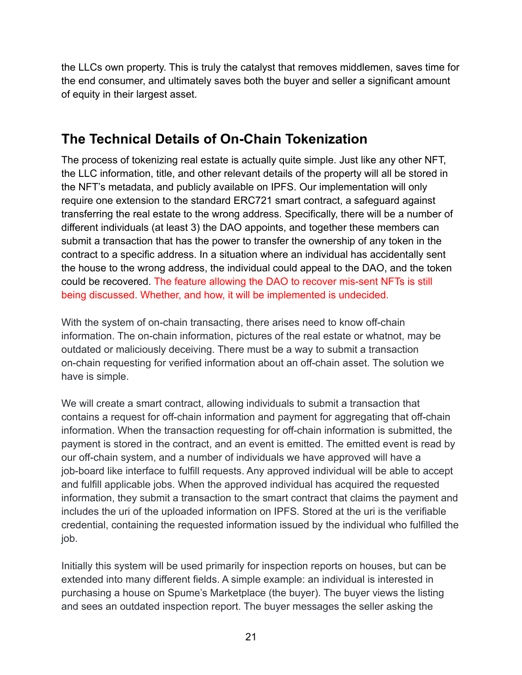the LLCs own property. This is truly the catalyst that removes middlemen, saves time for the end consumer, and ultimately saves both the buyer and seller a significant amount of equity in their largest asset.

## **The Technical Details of On-Chain Tokenization**

The process of tokenizing real estate is actually quite simple. Just like any other NFT, the LLC information, title, and other relevant details of the property will all be stored in the NFT's metadata, and publicly available on IPFS. Our implementation will only require one extension to the standard ERC721 smart contract, a safeguard against transferring the real estate to the wrong address. Specifically, there will be a number of different individuals (at least 3) the DAO appoints, and together these members can submit a transaction that has the power to transfer the ownership of any token in the contract to a specific address. In a situation where an individual has accidentally sent the house to the wrong address, the individual could appeal to the DAO, and the token could be recovered. The feature allowing the DAO to recover mis-sent NFTs is still being discussed. Whether, and how, it will be implemented is undecided.

With the system of on-chain transacting, there arises need to know off-chain information. The on-chain information, pictures of the real estate or whatnot, may be outdated or maliciously deceiving. There must be a way to submit a transaction on-chain requesting for verified information about an off-chain asset. The solution we have is simple.

We will create a smart contract, allowing individuals to submit a transaction that contains a request for off-chain information and payment for aggregating that off-chain information. When the transaction requesting for off-chain information is submitted, the payment is stored in the contract, and an event is emitted. The emitted event is read by our off-chain system, and a number of individuals we have approved will have a job-board like interface to fulfill requests. Any approved individual will be able to accept and fulfill applicable jobs. When the approved individual has acquired the requested information, they submit a transaction to the smart contract that claims the payment and includes the uri of the uploaded information on IPFS. Stored at the uri is the verifiable credential, containing the requested information issued by the individual who fulfilled the job.

Initially this system will be used primarily for inspection reports on houses, but can be extended into many different fields. A simple example: an individual is interested in purchasing a house on Spume's Marketplace (the buyer). The buyer views the listing and sees an outdated inspection report. The buyer messages the seller asking the